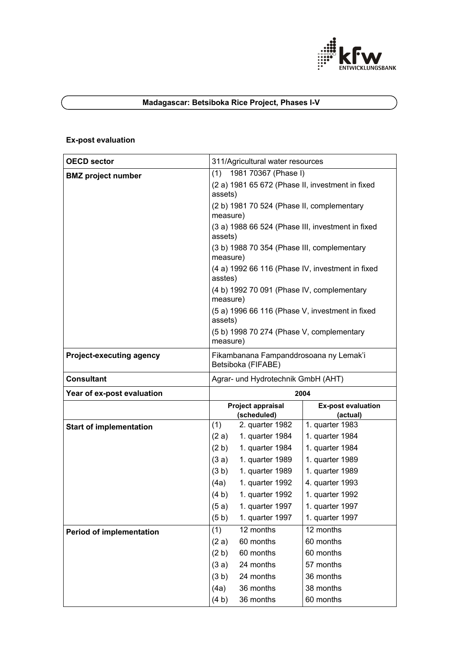

# **Madagascar: Betsiboka Rice Project, Phases I-V**

## **Ex-post evaluation**

| <b>OECD sector</b>              | 311/Agricultural water resources                                                                                                                                                                                                               |                                            |                                                   |  |
|---------------------------------|------------------------------------------------------------------------------------------------------------------------------------------------------------------------------------------------------------------------------------------------|--------------------------------------------|---------------------------------------------------|--|
| <b>BMZ</b> project number       | 1981 70367 (Phase I)<br>(1)                                                                                                                                                                                                                    |                                            |                                                   |  |
|                                 | (2 a) 1981 65 672 (Phase II, investment in fixed<br>assets)                                                                                                                                                                                    |                                            |                                                   |  |
|                                 | measure)                                                                                                                                                                                                                                       | (2 b) 1981 70 524 (Phase II, complementary |                                                   |  |
|                                 | assets)                                                                                                                                                                                                                                        |                                            | (3 a) 1988 66 524 (Phase III, investment in fixed |  |
|                                 | (3 b) 1988 70 354 (Phase III, complementary<br>measure)<br>(4 a) 1992 66 116 (Phase IV, investment in fixed<br>asstes)<br>(4 b) 1992 70 091 (Phase IV, complementary<br>measure)<br>(5 a) 1996 66 116 (Phase V, investment in fixed<br>assets) |                                            |                                                   |  |
|                                 |                                                                                                                                                                                                                                                |                                            |                                                   |  |
|                                 |                                                                                                                                                                                                                                                |                                            |                                                   |  |
|                                 |                                                                                                                                                                                                                                                |                                            |                                                   |  |
|                                 | measure)                                                                                                                                                                                                                                       | (5 b) 1998 70 274 (Phase V, complementary  |                                                   |  |
| <b>Project-executing agency</b> | Fikambanana Fampanddrosoana ny Lemak'i<br>Betsiboka (FIFABE)                                                                                                                                                                                   |                                            |                                                   |  |
| <b>Consultant</b>               | Agrar- und Hydrotechnik GmbH (AHT)                                                                                                                                                                                                             |                                            |                                                   |  |
|                                 | 2004                                                                                                                                                                                                                                           |                                            |                                                   |  |
| Year of ex-post evaluation      |                                                                                                                                                                                                                                                |                                            |                                                   |  |
|                                 |                                                                                                                                                                                                                                                | Project appraisal<br>(scheduled)           | <b>Ex-post evaluation</b><br>(actual)             |  |
| <b>Start of implementation</b>  | (1)                                                                                                                                                                                                                                            | 2. quarter 1982                            | 1. quarter 1983                                   |  |
|                                 | (2a)                                                                                                                                                                                                                                           | 1. quarter 1984                            | 1. quarter 1984                                   |  |
|                                 | (2 b)                                                                                                                                                                                                                                          | 1. quarter 1984                            | 1. quarter 1984                                   |  |
|                                 | (3a)                                                                                                                                                                                                                                           | 1. quarter 1989                            | 1. quarter 1989                                   |  |
|                                 | (3 b)                                                                                                                                                                                                                                          | 1. quarter 1989                            | 1. quarter 1989                                   |  |
|                                 | (4a)                                                                                                                                                                                                                                           | 1. quarter 1992                            | 4. quarter 1993                                   |  |
|                                 | (4 b)                                                                                                                                                                                                                                          | 1. quarter 1992                            | 1. quarter 1992                                   |  |
|                                 | (5a)                                                                                                                                                                                                                                           | 1. quarter 1997                            | 1. quarter 1997                                   |  |
|                                 | (5 <sub>b</sub> )                                                                                                                                                                                                                              | 1. quarter 1997                            | 1. quarter 1997                                   |  |
| <b>Period of implementation</b> | (1)                                                                                                                                                                                                                                            | 12 months                                  | 12 months                                         |  |
|                                 | (2a)                                                                                                                                                                                                                                           | 60 months                                  | 60 months                                         |  |
|                                 | (2 b)                                                                                                                                                                                                                                          | 60 months                                  | 60 months                                         |  |
|                                 | (3a)                                                                                                                                                                                                                                           | 24 months                                  | 57 months                                         |  |
|                                 | (3 b)                                                                                                                                                                                                                                          | 24 months                                  | 36 months                                         |  |
|                                 | (4a)                                                                                                                                                                                                                                           | 36 months                                  | 38 months                                         |  |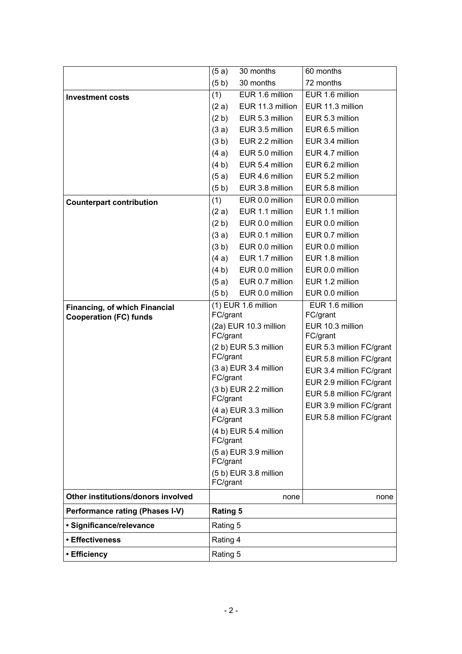|                                        | (5a)                                                                                                          | 30 months             | 60 months                    |  |  |
|----------------------------------------|---------------------------------------------------------------------------------------------------------------|-----------------------|------------------------------|--|--|
|                                        | (5 <sub>b</sub> )                                                                                             | 30 months             | 72 months                    |  |  |
| <b>Investment costs</b>                | (1)                                                                                                           | EUR 1.6 million       | EUR 1.6 million              |  |  |
|                                        | (2a)                                                                                                          | EUR 11.3 million      | EUR 11.3 million             |  |  |
|                                        | (2 b)                                                                                                         | EUR 5.3 million       | EUR 5.3 million              |  |  |
|                                        | (3a)                                                                                                          | EUR 3.5 million       | EUR 6.5 million              |  |  |
|                                        | (3 b)                                                                                                         | EUR 2.2 million       | EUR 3.4 million              |  |  |
|                                        | (4a)                                                                                                          | EUR 5.0 million       | EUR 4.7 million              |  |  |
|                                        | (4 b)                                                                                                         | EUR 5.4 million       | EUR 6.2 million              |  |  |
|                                        | (5a)                                                                                                          | EUR 4.6 million       | EUR 5.2 million              |  |  |
|                                        | (5 <sub>b</sub> )                                                                                             | EUR 3.8 million       | EUR 5.8 million              |  |  |
| <b>Counterpart contribution</b>        | (1)                                                                                                           | EUR 0.0 million       | EUR 0.0 million              |  |  |
|                                        | (2a)                                                                                                          | EUR 1.1 million       | EUR 1.1 million              |  |  |
|                                        | (2 b)                                                                                                         | EUR 0.0 million       | EUR 0.0 million              |  |  |
|                                        | (3a)                                                                                                          | EUR 0.1 million       | EUR 0.7 million              |  |  |
|                                        | (3 b)                                                                                                         | EUR 0.0 million       | EUR 0.0 million              |  |  |
|                                        | (4a)                                                                                                          | EUR 1.7 million       | EUR 1.8 million              |  |  |
|                                        | (4 b)                                                                                                         | EUR 0.0 million       | EUR 0.0 million              |  |  |
|                                        | (5a)                                                                                                          | EUR 0.7 million       | EUR 1.2 million              |  |  |
|                                        | (5 <sub>b</sub> )                                                                                             | EUR 0.0 million       | EUR 0.0 million              |  |  |
| <b>Financing, of which Financial</b>   |                                                                                                               | (1) EUR 1.6 million   | EUR 1.6 million              |  |  |
| <b>Cooperation (FC) funds</b>          | FC/grant<br>(2a) EUR 10.3 million<br>FC/grant                                                                 |                       | FC/grant                     |  |  |
|                                        |                                                                                                               |                       | EUR 10.3 million<br>FC/grant |  |  |
|                                        |                                                                                                               | (2 b) EUR 5.3 million | EUR 5.3 million FC/grant     |  |  |
|                                        | FC/grant                                                                                                      |                       | EUR 5.8 million FC/grant     |  |  |
|                                        |                                                                                                               | (3 a) EUR 3.4 million | EUR 3.4 million FC/grant     |  |  |
|                                        | FC/grant                                                                                                      |                       | EUR 2.9 million FC/grant     |  |  |
|                                        | (3 b) EUR 2.2 million<br>FC/grant<br>$(4 a)$ EUR 3.3 million<br>FC/grant<br>(4 b) EUR 5.4 million<br>FC/grant |                       | EUR 5.8 million FC/grant     |  |  |
|                                        |                                                                                                               |                       | EUR 3.9 million FC/grant     |  |  |
|                                        |                                                                                                               |                       | EUR 5.8 million FC/grant     |  |  |
|                                        |                                                                                                               |                       |                              |  |  |
|                                        |                                                                                                               |                       |                              |  |  |
|                                        |                                                                                                               | (5 a) EUR 3.9 million |                              |  |  |
|                                        | FC/grant                                                                                                      |                       |                              |  |  |
|                                        |                                                                                                               | (5 b) EUR 3.8 million |                              |  |  |
|                                        | FC/grant                                                                                                      |                       |                              |  |  |
| Other institutions/donors involved     |                                                                                                               | none                  | none                         |  |  |
| <b>Performance rating (Phases I-V)</b> | <b>Rating 5</b>                                                                                               |                       |                              |  |  |
| · Significance/relevance               | Rating 5                                                                                                      |                       |                              |  |  |
| • Effectiveness                        |                                                                                                               | Rating 4              |                              |  |  |
| • Efficiency                           | Rating 5                                                                                                      |                       |                              |  |  |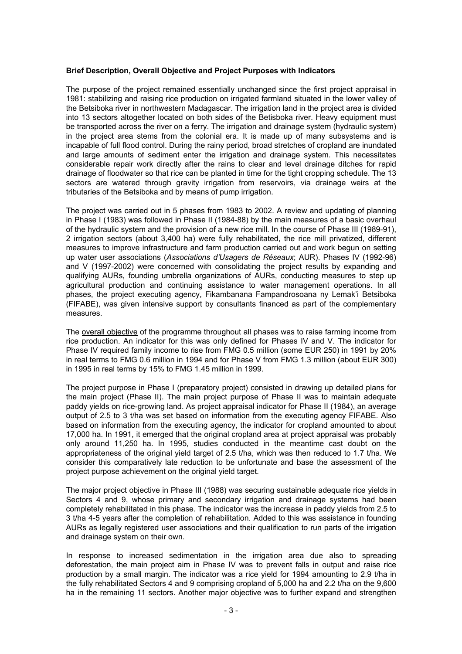#### **Brief Description, Overall Objective and Project Purposes with Indicators**

The purpose of the project remained essentially unchanged since the first project appraisal in 1981: stabilizing and raising rice production on irrigated farmland situated in the lower valley of the Betsiboka river in northwestern Madagascar. The irrigation land in the project area is divided into 13 sectors altogether located on both sides of the Betisboka river. Heavy equipment must be transported across the river on a ferry. The irrigation and drainage system (hydraulic system) in the project area stems from the colonial era. It is made up of many subsystems and is incapable of full flood control. During the rainy period, broad stretches of cropland are inundated and large amounts of sediment enter the irrigation and drainage system. This necessitates considerable repair work directly after the rains to clear and level drainage ditches for rapid drainage of floodwater so that rice can be planted in time for the tight cropping schedule. The 13 sectors are watered through gravity irrigation from reservoirs, via drainage weirs at the tributaries of the Betsiboka and by means of pump irrigation.

The project was carried out in 5 phases from 1983 to 2002. A review and updating of planning in Phase I (1983) was followed in Phase II (1984-88) by the main measures of a basic overhaul of the hydraulic system and the provision of a new rice mill. In the course of Phase III (1989-91), 2 irrigation sectors (about 3,400 ha) were fully rehabilitated, the rice mill privatized, different measures to improve infrastructure and farm production carried out and work begun on setting up water user associations (*Associations d'Usagers de Réseaux*; AUR). Phases IV (1992-96) and V (1997-2002) were concerned with consolidating the project results by expanding and qualifying AURs, founding umbrella organizations of AURs, conducting measures to step up agricultural production and continuing assistance to water management operations. In all phases, the project executing agency, Fikambanana Fampandrosoana ny Lemak'i Betsiboka (FIFABE), was given intensive support by consultants financed as part of the complementary measures.

The overall objective of the programme throughout all phases was to raise farming income from rice production. An indicator for this was only defined for Phases IV and V. The indicator for Phase IV required family income to rise from FMG 0.5 million (some EUR 250) in 1991 by 20% in real terms to FMG 0.6 million in 1994 and for Phase V from FMG 1.3 million (about EUR 300) in 1995 in real terms by 15% to FMG 1.45 million in 1999.

The project purpose in Phase I (preparatory project) consisted in drawing up detailed plans for the main project (Phase II). The main project purpose of Phase II was to maintain adequate paddy yields on rice-growing land. As project appraisal indicator for Phase II (1984), an average output of 2.5 to 3 t/ha was set based on information from the executing agency FIFABE. Also based on information from the executing agency, the indicator for cropland amounted to about 17,000 ha. In 1991, it emerged that the original cropland area at project appraisal was probably only around 11,250 ha. In 1995, studies conducted in the meantime cast doubt on the appropriateness of the original yield target of 2.5 t/ha, which was then reduced to 1.7 t/ha. We consider this comparatively late reduction to be unfortunate and base the assessment of the project purpose achievement on the original yield target.

The major project objective in Phase III (1988) was securing sustainable adequate rice yields in Sectors 4 and 9, whose primary and secondary irrigation and drainage systems had been completely rehabilitated in this phase. The indicator was the increase in paddy yields from 2.5 to 3 t/ha 4-5 years after the completion of rehabilitation. Added to this was assistance in founding AURs as legally registered user associations and their qualification to run parts of the irrigation and drainage system on their own.

In response to increased sedimentation in the irrigation area due also to spreading deforestation, the main project aim in Phase IV was to prevent falls in output and raise rice production by a small margin. The indicator was a rice yield for 1994 amounting to 2.9 t/ha in the fully rehabilitated Sectors 4 and 9 comprising cropland of 5,000 ha and 2.2 t/ha on the 9,600 ha in the remaining 11 sectors. Another major objective was to further expand and strengthen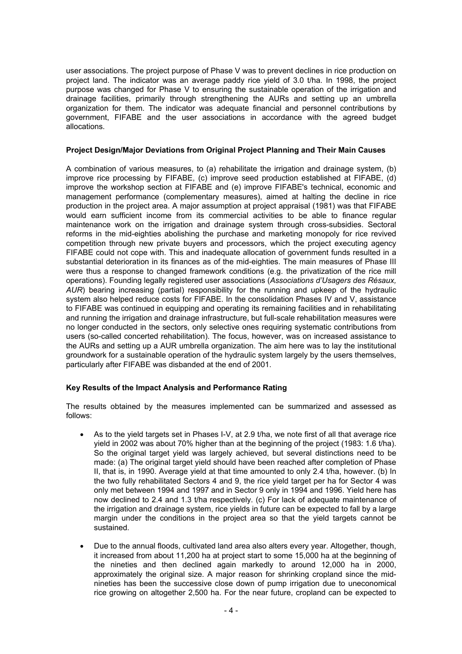user associations. The project purpose of Phase V was to prevent declines in rice production on project land. The indicator was an average paddy rice yield of 3.0 t/ha. In 1998, the project purpose was changed for Phase V to ensuring the sustainable operation of the irrigation and drainage facilities, primarily through strengthening the AURs and setting up an umbrella organization for them. The indicator was adequate financial and personnel contributions by government, FIFABE and the user associations in accordance with the agreed budget allocations.

#### **Project Design/Major Deviations from Original Project Planning and Their Main Causes**

A combination of various measures, to (a) rehabilitate the irrigation and drainage system, (b) improve rice processing by FIFABE, (c) improve seed production established at FIFABE, (d) improve the workshop section at FIFABE and (e) improve FIFABE's technical, economic and management performance (complementary measures), aimed at halting the decline in rice production in the project area. A major assumption at project appraisal (1981) was that FIFABE would earn sufficient income from its commercial activities to be able to finance regular maintenance work on the irrigation and drainage system through cross-subsidies. Sectoral reforms in the mid-eighties abolishing the purchase and marketing monopoly for rice revived competition through new private buyers and processors, which the project executing agency FIFABE could not cope with. This and inadequate allocation of government funds resulted in a substantial deterioration in its finances as of the mid-eighties. The main measures of Phase III were thus a response to changed framework conditions (e.g. the privatization of the rice mill operations). Founding legally registered user associations (*Associations d'Usagers des Résaux, AUR*) bearing increasing (partial) responsibility for the running and upkeep of the hydraulic system also helped reduce costs for FIFABE. In the consolidation Phases IV and V, assistance to FIFABE was continued in equipping and operating its remaining facilities and in rehabilitating and running the irrigation and drainage infrastructure, but full-scale rehabilitation measures were no longer conducted in the sectors, only selective ones requiring systematic contributions from users (so-called concerted rehabilitation). The focus, however, was on increased assistance to the AURs and setting up a AUR umbrella organization. The aim here was to lay the institutional groundwork for a sustainable operation of the hydraulic system largely by the users themselves, particularly after FIFABE was disbanded at the end of 2001.

## **Key Results of the Impact Analysis and Performance Rating**

The results obtained by the measures implemented can be summarized and assessed as follows:

- As to the yield targets set in Phases I-V, at 2.9 t/ha, we note first of all that average rice yield in 2002 was about 70% higher than at the beginning of the project (1983: 1.6 t/ha). So the original target yield was largely achieved, but several distinctions need to be made: (a) The original target yield should have been reached after completion of Phase II, that is, in 1990. Average yield at that time amounted to only 2.4 t/ha, however. (b) In the two fully rehabilitated Sectors 4 and 9, the rice yield target per ha for Sector 4 was only met between 1994 and 1997 and in Sector 9 only in 1994 and 1996. Yield here has now declined to 2.4 and 1.3 t/ha respectively. (c) For lack of adequate maintenance of the irrigation and drainage system, rice yields in future can be expected to fall by a large margin under the conditions in the project area so that the yield targets cannot be sustained.
- Due to the annual floods, cultivated land area also alters every year. Altogether, though, it increased from about 11,200 ha at project start to some 15,000 ha at the beginning of the nineties and then declined again markedly to around 12,000 ha in 2000, approximately the original size. A major reason for shrinking cropland since the midnineties has been the successive close down of pump irrigation due to uneconomical rice growing on altogether 2,500 ha. For the near future, cropland can be expected to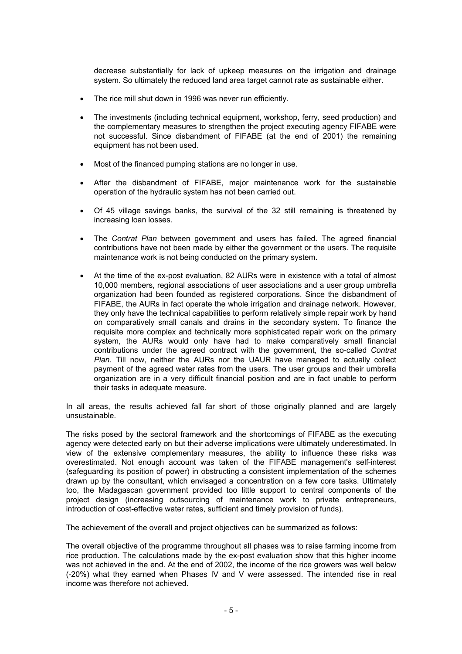decrease substantially for lack of upkeep measures on the irrigation and drainage system. So ultimately the reduced land area target cannot rate as sustainable either.

- The rice mill shut down in 1996 was never run efficiently.
- The investments (including technical equipment, workshop, ferry, seed production) and the complementary measures to strengthen the project executing agency FIFABE were not successful. Since disbandment of FIFABE (at the end of 2001) the remaining equipment has not been used.
- Most of the financed pumping stations are no longer in use.
- After the disbandment of FIFABE, major maintenance work for the sustainable operation of the hydraulic system has not been carried out.
- Of 45 village savings banks, the survival of the 32 still remaining is threatened by increasing loan losses.
- The *Contrat Plan* between government and users has failed. The agreed financial contributions have not been made by either the government or the users. The requisite maintenance work is not being conducted on the primary system.
- At the time of the ex-post evaluation, 82 AURs were in existence with a total of almost 10,000 members, regional associations of user associations and a user group umbrella organization had been founded as registered corporations. Since the disbandment of FIFABE, the AURs in fact operate the whole irrigation and drainage network. However, they only have the technical capabilities to perform relatively simple repair work by hand on comparatively small canals and drains in the secondary system. To finance the requisite more complex and technically more sophisticated repair work on the primary system, the AURs would only have had to make comparatively small financial contributions under the agreed contract with the government, the so-called *Contrat Plan*. Till now, neither the AURs nor the UAUR have managed to actually collect payment of the agreed water rates from the users. The user groups and their umbrella organization are in a very difficult financial position and are in fact unable to perform their tasks in adequate measure.

In all areas, the results achieved fall far short of those originally planned and are largely unsustainable.

The risks posed by the sectoral framework and the shortcomings of FIFABE as the executing agency were detected early on but their adverse implications were ultimately underestimated. In view of the extensive complementary measures, the ability to influence these risks was overestimated. Not enough account was taken of the FIFABE management's self-interest (safeguarding its position of power) in obstructing a consistent implementation of the schemes drawn up by the consultant, which envisaged a concentration on a few core tasks. Ultimately too, the Madagascan government provided too little support to central components of the project design (increasing outsourcing of maintenance work to private entrepreneurs, introduction of cost-effective water rates, sufficient and timely provision of funds).

The achievement of the overall and project objectives can be summarized as follows:

The overall objective of the programme throughout all phases was to raise farming income from rice production. The calculations made by the ex-post evaluation show that this higher income was not achieved in the end. At the end of 2002, the income of the rice growers was well below (-20%) what they earned when Phases IV and V were assessed. The intended rise in real income was therefore not achieved.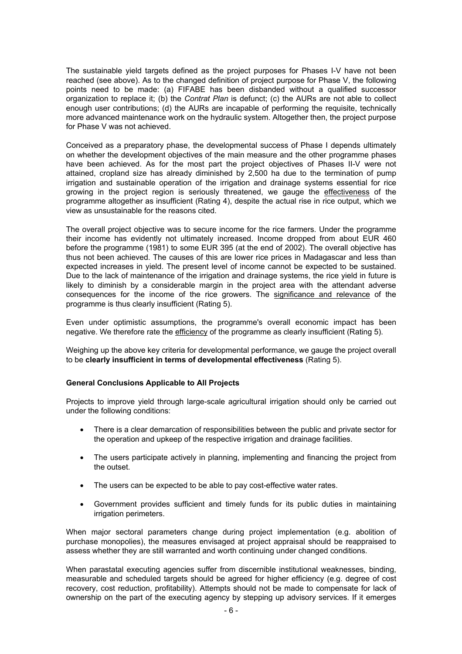The sustainable yield targets defined as the project purposes for Phases I-V have not been reached (see above). As to the changed definition of project purpose for Phase V, the following points need to be made: (a) FIFABE has been disbanded without a qualified successor organization to replace it; (b) the *Contrat Plan* is defunct; (c) the AURs are not able to collect enough user contributions; (d) the AURs are incapable of performing the requisite, technically more advanced maintenance work on the hydraulic system. Altogether then, the project purpose for Phase V was not achieved.

Conceived as a preparatory phase, the developmental success of Phase I depends ultimately on whether the development objectives of the main measure and the other programme phases have been achieved. As for the most part the project objectives of Phases II-V were not attained, cropland size has already diminished by 2,500 ha due to the termination of pump irrigation and sustainable operation of the irrigation and drainage systems essential for rice growing in the project region is seriously threatened, we gauge the effectiveness of the programme altogether as insufficient (Rating 4), despite the actual rise in rice output, which we view as unsustainable for the reasons cited.

The overall project objective was to secure income for the rice farmers. Under the programme their income has evidently not ultimately increased. Income dropped from about EUR 460 before the programme (1981) to some EUR 395 (at the end of 2002). The overall objective has thus not been achieved. The causes of this are lower rice prices in Madagascar and less than expected increases in yield. The present level of income cannot be expected to be sustained. Due to the lack of maintenance of the irrigation and drainage systems, the rice yield in future is likely to diminish by a considerable margin in the project area with the attendant adverse consequences for the income of the rice growers. The significance and relevance of the programme is thus clearly insufficient (Rating 5).

Even under optimistic assumptions, the programme's overall economic impact has been negative. We therefore rate the efficiency of the programme as clearly insufficient (Rating 5).

Weighing up the above key criteria for developmental performance, we gauge the project overall to be **clearly insufficient in terms of developmental effectiveness** (Rating 5).

## **General Conclusions Applicable to All Projects**

Projects to improve yield through large-scale agricultural irrigation should only be carried out under the following conditions:

- There is a clear demarcation of responsibilities between the public and private sector for the operation and upkeep of the respective irrigation and drainage facilities.
- The users participate actively in planning, implementing and financing the project from the outset.
- The users can be expected to be able to pay cost-effective water rates.
- Government provides sufficient and timely funds for its public duties in maintaining irrigation perimeters.

When major sectoral parameters change during project implementation (e.g. abolition of purchase monopolies), the measures envisaged at project appraisal should be reappraised to assess whether they are still warranted and worth continuing under changed conditions.

When parastatal executing agencies suffer from discernible institutional weaknesses, binding, measurable and scheduled targets should be agreed for higher efficiency (e.g. degree of cost recovery, cost reduction, profitability). Attempts should not be made to compensate for lack of ownership on the part of the executing agency by stepping up advisory services. If it emerges